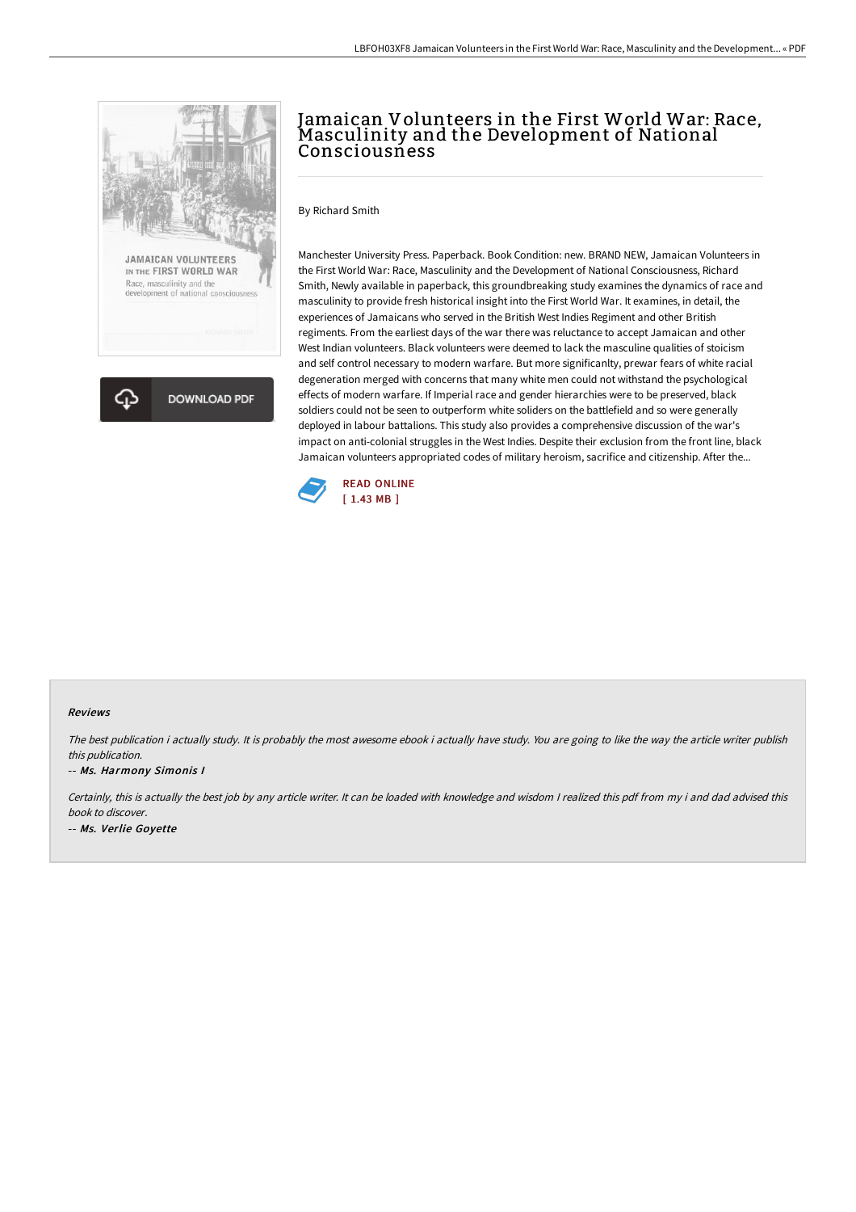



# Jamaican Volunteers in the First World War: Race,<br>Masculinity and the Development of National **Consciousness**

By Richard Smith

Manchester University Press. Paperback. Book Condition: new. BRAND NEW, Jamaican Volunteers in the First World War: Race, Masculinity and the Development of National Consciousness, Richard Smith, Newly available in paperback, this groundbreaking study examines the dynamics of race and masculinity to provide fresh historical insight into the First World War. It examines, in detail, the experiences of Jamaicans who served in the British West Indies Regiment and other British regiments. From the earliest days of the war there was reluctance to accept Jamaican and other West Indian volunteers. Black volunteers were deemed to lack the masculine qualities of stoicism and self control necessary to modern warfare. But more significanlty, prewar fears of white racial degeneration merged with concerns that many white men could not withstand the psychological effects of modern warfare. If Imperial race and gender hierarchies were to be preserved, black soldiers could not be seen to outperform white soliders on the battlefield and so were generally deployed in labour battalions. This study also provides a comprehensive discussion of the war's impact on anti-colonial struggles in the West Indies. Despite their exclusion from the front line, black Jamaican volunteers appropriated codes of military heroism, sacrifice and citizenship. After the...



#### Reviews

The best publication i actually study. It is probably the most awesome ebook i actually have study. You are going to like the way the article writer publish this publication.

#### -- Ms. Harmony Simonis I

Certainly, this is actually the best job by any article writer. It can be loaded with knowledge and wisdom <sup>I</sup> realized this pdf from my i and dad advised this book to discover. -- Ms. Verlie Goyette